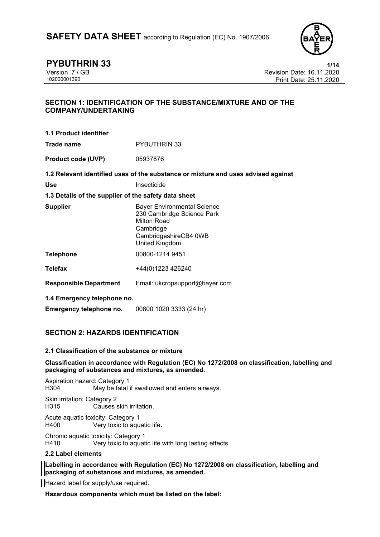

**PYBUTHRIN 33**<br>
Version 7 / GB **1/14**<br>
Revision Date: 16.11.2020 Version 7 / GB Revision Date: 16.11.2020 Print Date: 25.11.2020

## **SECTION 1: IDENTIFICATION OF THE SUBSTANCE/MIXTURE AND OF THE COMPANY/UNDERTAKING**

| <b>1.1 Product identifier</b>                        |                                                                                                                                         |  |  |  |
|------------------------------------------------------|-----------------------------------------------------------------------------------------------------------------------------------------|--|--|--|
| Trade name                                           | <b>PYBUTHRIN 33</b>                                                                                                                     |  |  |  |
| <b>Product code (UVP)</b>                            | 05937876                                                                                                                                |  |  |  |
|                                                      | 1.2 Relevant identified uses of the substance or mixture and uses advised against                                                       |  |  |  |
| <b>Use</b>                                           | Insecticide                                                                                                                             |  |  |  |
| 1.3 Details of the supplier of the safety data sheet |                                                                                                                                         |  |  |  |
| <b>Supplier</b>                                      | <b>Bayer Environmental Science</b><br>230 Cambridge Science Park<br>Milton Road<br>Cambridge<br>CambridgeshireCB4 0WB<br>United Kingdom |  |  |  |
| <b>Telephone</b>                                     | 00800-1214 9451                                                                                                                         |  |  |  |
| <b>Telefax</b>                                       | +44(0)1223 426240                                                                                                                       |  |  |  |
| <b>Responsible Department</b>                        | Email: ukcropsupport@bayer.com                                                                                                          |  |  |  |
| 1.4 Emergency telephone no.                          |                                                                                                                                         |  |  |  |
| Emergency telephone no.                              | 00800 1020 3333 (24 hr)                                                                                                                 |  |  |  |

## **SECTION 2: HAZARDS IDENTIFICATION**

### **2.1 Classification of the substance or mixture**

**Classification in accordance with Regulation (EC) No 1272/2008 on classification, labelling and packaging of substances and mixtures, as amended.**

Aspiration hazard: Category 1 H304 May be fatal if swallowed and enters airways.

Skin irritation: Category 2 Causes skin irritation.

Acute aquatic toxicity: Category 1<br>H400 Very toxic to agu Very toxic to aquatic life.

Chronic aquatic toxicity: Category 1

Very toxic to aquatic life with long lasting effects.

### **2.2 Label elements**

**Labelling in accordance with Regulation (EC) No 1272/2008 on classification, labelling and packaging of substances and mixtures, as amended.**

Hazard label for supply/use required.

**Hazardous components which must be listed on the label:**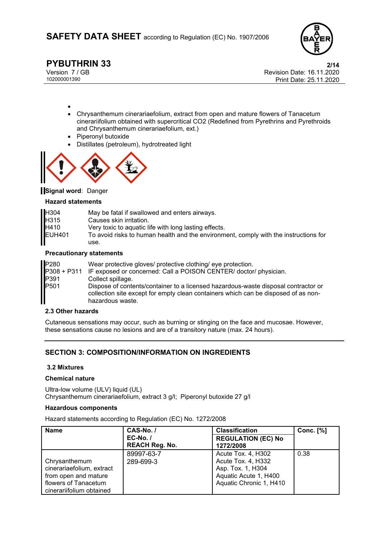

•

**PYBUTHRIN 33**<br>Version 7 / GB **2/14**<br>Revision Date: 16.11.2020 Version 7 / GB Revision Date: 16.11.2020 Print Date: 25.11.2020

- Chrysanthemum cinerariaefolium, extract from open and mature flowers of Tanacetum cinerariifolium obtained with supercritical CO2 (Redefined from Pyrethrins and Pyrethroids and Chrysanthemum cinerariaefolium, ext.)
- Piperonyl butoxide
- Distillates (petroleum), hydrotreated light



**Signal word:** Danger

#### **Hazard statements**

| H304          | May be fatal if swallowed and enters airways.                                        |
|---------------|--------------------------------------------------------------------------------------|
| H315          | Causes skin irritation.                                                              |
| H410          | Very toxic to aquatic life with long lasting effects.                                |
| <b>EUH401</b> | To avoid risks to human health and the environment, comply with the instructions for |
|               | use.                                                                                 |

#### **Precautionary statements**

| P280 | Wear protective gloves/ protective clothing/ eye protection.                                                                                                                                 |
|------|----------------------------------------------------------------------------------------------------------------------------------------------------------------------------------------------|
|      | P308 + P311 IF exposed or concerned: Call a POISON CENTER/ doctor/ physician.                                                                                                                |
| P391 | Collect spillage.                                                                                                                                                                            |
| P501 | Dispose of contents/container to a licensed hazardous-waste disposal contractor or<br>collection site except for empty clean containers which can be disposed of as non-<br>hazardous waste. |

### **2.3 Other hazards**

Cutaneous sensations may occur, such as burning or stinging on the face and mucosae. However, these sensations cause no lesions and are of a transitory nature (max. 24 hours).

## **SECTION 3: COMPOSITION/INFORMATION ON INGREDIENTS**

### **3.2 Mixtures**

### **Chemical nature**

Ultra-low volume (ULV) liquid (UL) Chrysanthemum cinerariaefolium, extract 3 g/l; Piperonyl butoxide 27 g/l

#### **Hazardous components**

Hazard statements according to Regulation (EC) No. 1272/2008

| <b>Name</b>                                                                                                            | CAS-No./                          | <b>Classification</b>                                                                                             | <b>Conc.</b> [%] |
|------------------------------------------------------------------------------------------------------------------------|-----------------------------------|-------------------------------------------------------------------------------------------------------------------|------------------|
|                                                                                                                        | $EC-No.$<br><b>REACH Reg. No.</b> | <b>REGULATION (EC) No</b><br>1272/2008                                                                            |                  |
| Chrysanthemum<br>cinerariaefolium, extract<br>from open and mature<br>flowers of Tanacetum<br>cinerariifolium obtained | 89997-63-7<br>289-699-3           | Acute Tox. 4, H302<br>Acute Tox. 4, H332<br>Asp. Tox. 1, H304<br>Aquatic Acute 1, H400<br>Aquatic Chronic 1, H410 | 0.38             |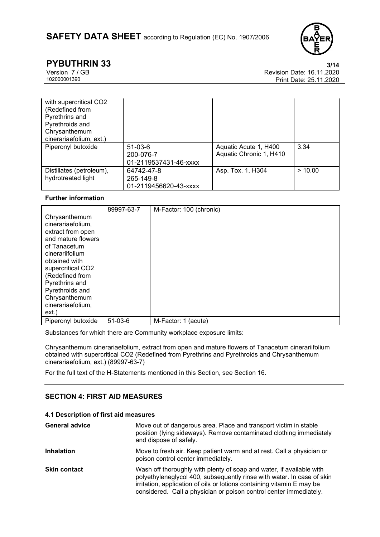

**PYBUTHRIN 33** 3/14<br>
Version 7 / GB 8/11.2020 Version 7 / GB Revision Date: 16.11.2020 Print Date: 25.11.2020

| with supercritical CO2<br>(Redefined from<br>Pyrethrins and<br>Pyrethroids and<br>Chrysanthemum<br>cinerariaefolium, ext.) |                                                  |                                                  |         |
|----------------------------------------------------------------------------------------------------------------------------|--------------------------------------------------|--------------------------------------------------|---------|
| Piperonyl butoxide                                                                                                         | $51-03-6$<br>200-076-7<br>01-2119537431-46-xxxx  | Aquatic Acute 1, H400<br>Aquatic Chronic 1, H410 | 3.34    |
| Distillates (petroleum),<br>hydrotreated light                                                                             | 64742-47-8<br>265-149-8<br>01-2119456620-43-xxxx | Asp. Tox. 1, H304                                | > 10.00 |

### **Further information**

| Chrysanthemum<br>cinerariaefolium,<br>extract from open<br>and mature flowers<br>of Tanacetum<br>cinerariifolium<br>obtained with<br>supercritical CO2<br>(Redefined from<br>Pyrethrins and<br>Pyrethroids and<br>Chrysanthemum | 89997-63-7 | M-Factor: 100 (chronic) |
|---------------------------------------------------------------------------------------------------------------------------------------------------------------------------------------------------------------------------------|------------|-------------------------|
| cinerariaefolium,<br>ext.)                                                                                                                                                                                                      |            |                         |
| Piperonyl butoxide                                                                                                                                                                                                              | $51-03-6$  | M-Factor: 1<br>(acute)  |

Substances for which there are Community workplace exposure limits:

Chrysanthemum cinerariaefolium, extract from open and mature flowers of Tanacetum cinerariifolium obtained with supercritical CO2 (Redefined from Pyrethrins and Pyrethroids and Chrysanthemum cinerariaefolium, ext.) (89997-63-7)

For the full text of the H-Statements mentioned in this Section, see Section 16.

## **SECTION 4: FIRST AID MEASURES**

#### **4.1 Description of first aid measures**

| <b>General advice</b> | Move out of dangerous area. Place and transport victim in stable<br>position (lying sideways). Remove contaminated clothing immediately<br>and dispose of safely.                                                                                                                              |  |
|-----------------------|------------------------------------------------------------------------------------------------------------------------------------------------------------------------------------------------------------------------------------------------------------------------------------------------|--|
| <b>Inhalation</b>     | Move to fresh air. Keep patient warm and at rest. Call a physician or<br>poison control center immediately.                                                                                                                                                                                    |  |
| <b>Skin contact</b>   | Wash off thoroughly with plenty of soap and water, if available with<br>polyethyleneglycol 400, subsequently rinse with water. In case of skin<br>irritation, application of oils or lotions containing vitamin E may be<br>considered. Call a physician or poison control center immediately. |  |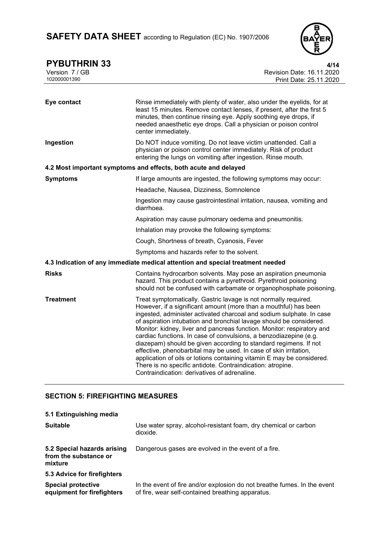

**PYBUTHRIN 33** 4/14

| Version 7 / GB<br>102000001390 | Revision Date: 16.11.2020<br>Print Date: 25.11.2020                                                                                                                                                                                                                                                                                                                                                                                                                                                                                                                                                                                                                                                                                                                |
|--------------------------------|--------------------------------------------------------------------------------------------------------------------------------------------------------------------------------------------------------------------------------------------------------------------------------------------------------------------------------------------------------------------------------------------------------------------------------------------------------------------------------------------------------------------------------------------------------------------------------------------------------------------------------------------------------------------------------------------------------------------------------------------------------------------|
|                                |                                                                                                                                                                                                                                                                                                                                                                                                                                                                                                                                                                                                                                                                                                                                                                    |
| Eye contact                    | Rinse immediately with plenty of water, also under the eyelids, for at<br>least 15 minutes. Remove contact lenses, if present, after the first 5<br>minutes, then continue rinsing eye. Apply soothing eye drops, if<br>needed anaesthetic eye drops. Call a physician or poison control<br>center immediately.                                                                                                                                                                                                                                                                                                                                                                                                                                                    |
| Ingestion                      | Do NOT induce vomiting. Do not leave victim unattended. Call a<br>physician or poison control center immediately. Risk of product<br>entering the lungs on vomiting after ingestion. Rinse mouth.                                                                                                                                                                                                                                                                                                                                                                                                                                                                                                                                                                  |
|                                | 4.2 Most important symptoms and effects, both acute and delayed                                                                                                                                                                                                                                                                                                                                                                                                                                                                                                                                                                                                                                                                                                    |
| <b>Symptoms</b>                | If large amounts are ingested, the following symptoms may occur:                                                                                                                                                                                                                                                                                                                                                                                                                                                                                                                                                                                                                                                                                                   |
|                                | Headache, Nausea, Dizziness, Somnolence                                                                                                                                                                                                                                                                                                                                                                                                                                                                                                                                                                                                                                                                                                                            |
|                                | Ingestion may cause gastrointestinal irritation, nausea, vomiting and<br>diarrhoea.                                                                                                                                                                                                                                                                                                                                                                                                                                                                                                                                                                                                                                                                                |
|                                | Aspiration may cause pulmonary oedema and pneumonitis.                                                                                                                                                                                                                                                                                                                                                                                                                                                                                                                                                                                                                                                                                                             |
|                                | Inhalation may provoke the following symptoms:                                                                                                                                                                                                                                                                                                                                                                                                                                                                                                                                                                                                                                                                                                                     |
|                                | Cough, Shortness of breath, Cyanosis, Fever                                                                                                                                                                                                                                                                                                                                                                                                                                                                                                                                                                                                                                                                                                                        |
|                                | Symptoms and hazards refer to the solvent.                                                                                                                                                                                                                                                                                                                                                                                                                                                                                                                                                                                                                                                                                                                         |
|                                | 4.3 Indication of any immediate medical attention and special treatment needed                                                                                                                                                                                                                                                                                                                                                                                                                                                                                                                                                                                                                                                                                     |
| <b>Risks</b>                   | Contains hydrocarbon solvents. May pose an aspiration pneumonia<br>hazard. This product contains a pyrethroid. Pyrethroid poisoning<br>should not be confused with carbamate or organophosphate poisoning.                                                                                                                                                                                                                                                                                                                                                                                                                                                                                                                                                         |
| <b>Treatment</b>               | Treat symptomatically. Gastric lavage is not normally required.<br>However, if a significant amount (more than a mouthful) has been<br>ingested, administer activated charcoal and sodium sulphate. In case<br>of aspiration intubation and bronchial lavage should be considered.<br>Monitor: kidney, liver and pancreas function. Monitor: respiratory and<br>cardiac functions. In case of convulsions, a benzodiazepine (e.g.<br>diazepam) should be given according to standard regimens. If not<br>effective, phenobarbital may be used. In case of skin irritation,<br>application of oils or lotions containing vitamin E may be considered.<br>There is no specific antidote. Contraindication: atropine.<br>Contraindication: derivatives of adrenaline. |

# **SECTION 5: FIREFIGHTING MEASURES**

| 5.1 Extinguishing media                                         |                                                                                                                               |
|-----------------------------------------------------------------|-------------------------------------------------------------------------------------------------------------------------------|
| <b>Suitable</b>                                                 | Use water spray, alcohol-resistant foam, dry chemical or carbon<br>dioxide.                                                   |
| 5.2 Special hazards arising<br>from the substance or<br>mixture | Dangerous gases are evolved in the event of a fire.                                                                           |
| 5.3 Advice for firefighters                                     |                                                                                                                               |
| <b>Special protective</b><br>equipment for firefighters         | In the event of fire and/or explosion do not breathe fumes. In the event<br>of fire, wear self-contained breathing apparatus. |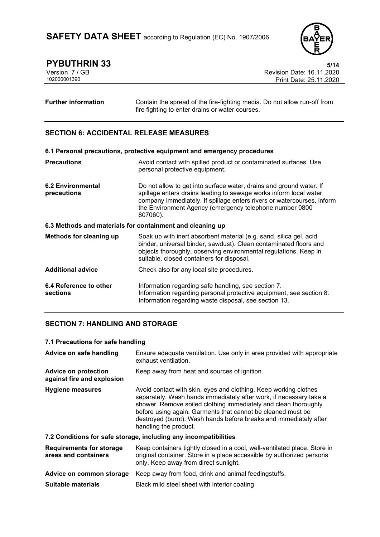

**PYBUTHRIN 33**<br>Version 7 / GB **5/14**<br>Revision Date: 16.11.2020 Version 7 / GB Revision Date: 16.11.2020 Print Date: 25.11.2020

**Further information** Contain the spread of the fire-fighting media. Do not allow run-off from fire fighting to enter drains or water courses.

## **SECTION 6: ACCIDENTAL RELEASE MEASURES**

| 6.1 Personal precautions, protective equipment and emergency procedures |                                                                                                                                                                                                                                                                                           |  |  |  |
|-------------------------------------------------------------------------|-------------------------------------------------------------------------------------------------------------------------------------------------------------------------------------------------------------------------------------------------------------------------------------------|--|--|--|
| <b>Precautions</b>                                                      | Avoid contact with spilled product or contaminated surfaces. Use<br>personal protective equipment.                                                                                                                                                                                        |  |  |  |
| <b>6.2 Environmental</b><br>precautions                                 | Do not allow to get into surface water, drains and ground water. If<br>spillage enters drains leading to sewage works inform local water<br>company immediately. If spillage enters rivers or watercourses, inform<br>the Environment Agency (emergency telephone number 0800<br>807060). |  |  |  |
| 6.3 Methods and materials for containment and cleaning up               |                                                                                                                                                                                                                                                                                           |  |  |  |
| Methods for cleaning up                                                 | Soak up with inert absorbent material (e.g. sand, silica gel, acid<br>binder, universal binder, sawdust). Clean contaminated floors and<br>objects thoroughly, observing environmental regulations. Keep in<br>suitable, closed containers for disposal.                                  |  |  |  |
| <b>Additional advice</b>                                                | Check also for any local site procedures.                                                                                                                                                                                                                                                 |  |  |  |
| 6.4 Reference to other<br>sections                                      | Information regarding safe handling, see section 7.<br>Information regarding personal protective equipment, see section 8.<br>Information regarding waste disposal, see section 13.                                                                                                       |  |  |  |

## **SECTION 7: HANDLING AND STORAGE**

### **7.1 Precautions for safe handling**

| Advice on safe handling                                   | Ensure adequate ventilation. Use only in area provided with appropriate<br>exhaust ventilation.                                                                                                                                                                                                                                                                        |  |  |
|-----------------------------------------------------------|------------------------------------------------------------------------------------------------------------------------------------------------------------------------------------------------------------------------------------------------------------------------------------------------------------------------------------------------------------------------|--|--|
| <b>Advice on protection</b><br>against fire and explosion | Keep away from heat and sources of ignition.                                                                                                                                                                                                                                                                                                                           |  |  |
| <b>Hygiene measures</b>                                   | Avoid contact with skin, eyes and clothing. Keep working clothes<br>separately. Wash hands immediately after work, if necessary take a<br>shower. Remove soiled clothing immediately and clean thoroughly<br>before using again. Garments that cannot be cleaned must be<br>destroyed (burnt). Wash hands before breaks and immediately after<br>handling the product. |  |  |
|                                                           | 7.2 Conditions for safe storage, including any incompatibilities                                                                                                                                                                                                                                                                                                       |  |  |
| <b>Requirements for storage</b><br>areas and containers   | Keep containers tightly closed in a cool, well-ventilated place. Store in<br>original container. Store in a place accessible by authorized persons<br>only. Keep away from direct sunlight.                                                                                                                                                                            |  |  |
| Advice on common storage                                  | Keep away from food, drink and animal feedingstuffs.                                                                                                                                                                                                                                                                                                                   |  |  |
| <b>Suitable materials</b>                                 | Black mild steel sheet with interior coating                                                                                                                                                                                                                                                                                                                           |  |  |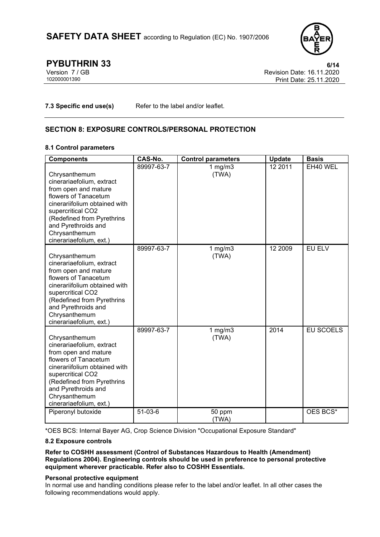

**PYBUTHRIN 33** 6/14<br>
Version 7 / GB 6/14<br>
Revision Date: 16.11.2020 Version 7 / GB Revision Date: 16.11.2020 Print Date: 25.11.2020

**7.3 Specific end use(s)** Refer to the label and/or leaflet.

## **SECTION 8: EXPOSURE CONTROLS/PERSONAL PROTECTION**

### **8.1 Control parameters**

| <b>Components</b>                                                                                                                                                                                                                                 | CAS-No.    | <b>Control parameters</b> | <b>Update</b> | <b>Basis</b>     |
|---------------------------------------------------------------------------------------------------------------------------------------------------------------------------------------------------------------------------------------------------|------------|---------------------------|---------------|------------------|
| Chrysanthemum<br>cinerariaefolium, extract<br>from open and mature<br>flowers of Tanacetum<br>cinerariifolium obtained with<br>supercritical CO2<br>(Redefined from Pyrethrins<br>and Pyrethroids and<br>Chrysanthemum<br>cinerariaefolium, ext.) | 89997-63-7 | 1 $mg/m3$<br>(TWA)        | 12 2011       | EH40 WEL         |
| Chrysanthemum<br>cinerariaefolium, extract<br>from open and mature<br>flowers of Tanacetum<br>cinerariifolium obtained with<br>supercritical CO2<br>(Redefined from Pyrethrins<br>and Pyrethroids and<br>Chrysanthemum<br>cinerariaefolium, ext.) | 89997-63-7 | $1$ mg/m $3$<br>(TWA)     | 12 2009       | EU ELV           |
| Chrysanthemum<br>cinerariaefolium, extract<br>from open and mature<br>flowers of Tanacetum<br>cinerariifolium obtained with<br>supercritical CO2<br>(Redefined from Pyrethrins<br>and Pyrethroids and<br>Chrysanthemum<br>cinerariaefolium, ext.) | 89997-63-7 | 1 $mg/m3$<br>(TWA)        | 2014          | <b>EU SCOELS</b> |
| Piperonyl butoxide                                                                                                                                                                                                                                | 51-03-6    | 50 ppm<br>(TWA)           |               | OES BCS*         |

\*OES BCS: Internal Bayer AG, Crop Science Division "Occupational Exposure Standard"

### **8.2 Exposure controls**

**Refer to COSHH assessment (Control of Substances Hazardous to Health (Amendment) Regulations 2004). Engineering controls should be used in preference to personal protective equipment wherever practicable. Refer also to COSHH Essentials.**

### **Personal protective equipment**

In normal use and handling conditions please refer to the label and/or leaflet. In all other cases the following recommendations would apply.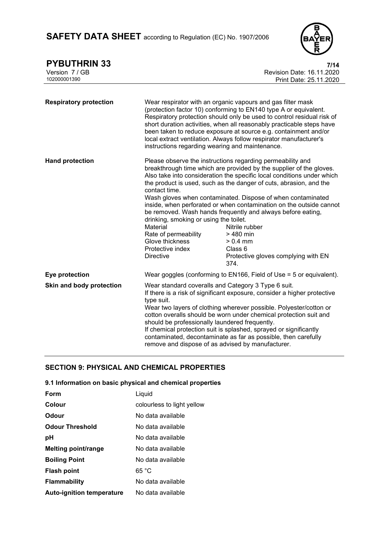

| <b>PYBUTHRIN 33</b>           |                                                                                                                                                        | 7/14                                                                                                                                                                                                                                                                                                                                                                                                                                                                                                                                                                                          |
|-------------------------------|--------------------------------------------------------------------------------------------------------------------------------------------------------|-----------------------------------------------------------------------------------------------------------------------------------------------------------------------------------------------------------------------------------------------------------------------------------------------------------------------------------------------------------------------------------------------------------------------------------------------------------------------------------------------------------------------------------------------------------------------------------------------|
| Version 7 / GB                |                                                                                                                                                        | Revision Date: 16.11.2020                                                                                                                                                                                                                                                                                                                                                                                                                                                                                                                                                                     |
| 102000001390                  |                                                                                                                                                        | Print Date: 25.11.2020                                                                                                                                                                                                                                                                                                                                                                                                                                                                                                                                                                        |
| <b>Respiratory protection</b> | instructions regarding wearing and maintenance.                                                                                                        | Wear respirator with an organic vapours and gas filter mask<br>(protection factor 10) conforming to EN140 type A or equivalent.<br>Respiratory protection should only be used to control residual risk of<br>short duration activities, when all reasonably practicable steps have<br>been taken to reduce exposure at source e.g. containment and/or<br>local extract ventilation. Always follow respirator manufacturer's                                                                                                                                                                   |
| <b>Hand protection</b>        | contact time.<br>drinking, smoking or using the toilet.<br>Material<br>Rate of permeability<br>Glove thickness<br>Protective index<br><b>Directive</b> | Please observe the instructions regarding permeability and<br>breakthrough time which are provided by the supplier of the gloves.<br>Also take into consideration the specific local conditions under which<br>the product is used, such as the danger of cuts, abrasion, and the<br>Wash gloves when contaminated. Dispose of when contaminated<br>inside, when perforated or when contamination on the outside cannot<br>be removed. Wash hands frequently and always before eating,<br>Nitrile rubber<br>> 480 min<br>$> 0.4$ mm<br>Class 6<br>Protective gloves complying with EN<br>374. |
| Eye protection                |                                                                                                                                                        | Wear goggles (conforming to EN166, Field of Use = 5 or equivalent).                                                                                                                                                                                                                                                                                                                                                                                                                                                                                                                           |
| Skin and body protection      | type suit.<br>should be professionally laundered frequently.                                                                                           | Wear standard coveralls and Category 3 Type 6 suit.<br>If there is a risk of significant exposure, consider a higher protective<br>Wear two layers of clothing wherever possible. Polyester/cotton or<br>cotton overalls should be worn under chemical protection suit and<br>If chemical protection suit is splashed, sprayed or significantly                                                                                                                                                                                                                                               |

contaminated, decontaminate as far as possible, then carefully

remove and dispose of as advised by manufacturer.

## **SECTION 9: PHYSICAL AND CHEMICAL PROPERTIES**

### **9.1 Information on basic physical and chemical properties**

| Form                             | Liquid                     |
|----------------------------------|----------------------------|
| Colour                           | colourless to light yellow |
| <b>Odour</b>                     | No data available          |
| <b>Odour Threshold</b>           | No data available          |
| рH                               | No data available          |
| <b>Melting point/range</b>       | No data available          |
| <b>Boiling Point</b>             | No data available          |
| <b>Flash point</b>               | 65 °C                      |
| <b>Flammability</b>              | No data available          |
| <b>Auto-ignition temperature</b> | No data available          |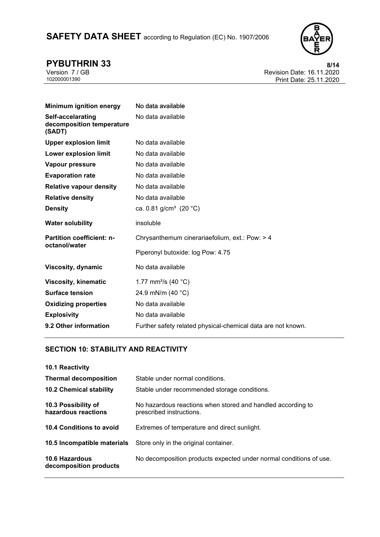

**PYBUTHRIN 33**<br>Version 7 / GB **8/14**<br>Revision Date: 16.11.2020 Version 7 / GB Revision Date: 16.11.2020 Print Date: 25.11.2020

| <b>Minimum ignition energy</b>                           | No data available                              |
|----------------------------------------------------------|------------------------------------------------|
| Self-accelarating<br>decomposition temperature<br>(SADT) | No data available                              |
| <b>Upper explosion limit</b>                             | No data available                              |
| <b>Lower explosion limit</b>                             | No data available                              |
| Vapour pressure                                          | No data available                              |
| <b>Evaporation rate</b>                                  | No data available                              |
| <b>Relative vapour density</b>                           | No data available                              |
| <b>Relative density</b>                                  | No data available                              |
| <b>Density</b>                                           | ca. 0.81 g/cm <sup>3</sup> (20 °C)             |
| <b>Water solubility</b>                                  | insoluble                                      |
| Partition coefficient: n-<br>octanol/water               | Chrysanthemum cinerariaefolium, ext.: Pow: > 4 |
|                                                          | Piperonyl butoxide: log Pow: 4.75              |
| Viscosity, dynamic                                       | No data available                              |
| <b>Viscosity, kinematic</b>                              | 1.77 mm <sup>2</sup> /s (40 °C)                |
| <b>Surface tension</b>                                   | 24.9 mN/m (40 °C)                              |
| <b>Oxidizing properties</b>                              | No data available                              |
| <b>Explosivity</b>                                       | No data available                              |
|                                                          |                                                |

## **SECTION 10: STABILITY AND REACTIVITY**

| 10.1 Reactivity                            |                                                                                         |
|--------------------------------------------|-----------------------------------------------------------------------------------------|
| <b>Thermal decomposition</b>               | Stable under normal conditions.                                                         |
| <b>10.2 Chemical stability</b>             | Stable under recommended storage conditions.                                            |
| 10.3 Possibility of<br>hazardous reactions | No hazardous reactions when stored and handled according to<br>prescribed instructions. |
| 10.4 Conditions to avoid                   | Extremes of temperature and direct sunlight.                                            |
| 10.5 Incompatible materials                | Store only in the original container.                                                   |
| 10.6 Hazardous<br>decomposition products   | No decomposition products expected under normal conditions of use.                      |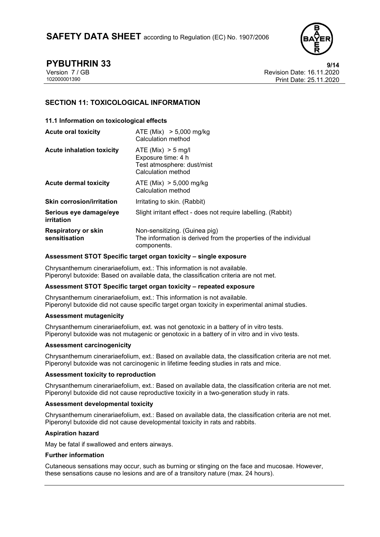

**PYBUTHRIN 33 9/14** Version 7 / GB Revision Date: 16.11.2020 Print Date: 25.11.2020

## **SECTION 11: TOXICOLOGICAL INFORMATION**

### **11.1 Information on toxicological effects**

| <b>Acute oral toxicity</b>                  | ATE (Mix) $> 5,000$ mg/kg<br>Calculation method                                                                  |
|---------------------------------------------|------------------------------------------------------------------------------------------------------------------|
| <b>Acute inhalation toxicity</b>            | ATE (Mix) > 5 mg/l<br>Exposure time: 4 h<br>Test atmosphere: dust/mist<br>Calculation method                     |
| <b>Acute dermal toxicity</b>                | ATE (Mix) $> 5,000$ mg/kg<br>Calculation method                                                                  |
| <b>Skin corrosion/irritation</b>            | Irritating to skin. (Rabbit)                                                                                     |
| Serious eye damage/eye<br>irritation        | Slight irritant effect - does not require labelling. (Rabbit)                                                    |
| <b>Respiratory or skin</b><br>sensitisation | Non-sensitizing. (Guinea pig)<br>The information is derived from the properties of the individual<br>components. |

#### **Assessment STOT Specific target organ toxicity – single exposure**

Chrysanthemum cinerariaefolium, ext.: This information is not available. Piperonyl butoxide: Based on available data, the classification criteria are not met.

#### **Assessment STOT Specific target organ toxicity – repeated exposure**

Chrysanthemum cinerariaefolium, ext.: This information is not available. Piperonyl butoxide did not cause specific target organ toxicity in experimental animal studies.

### **Assessment mutagenicity**

Chrysanthemum cinerariaefolium, ext. was not genotoxic in a battery of in vitro tests. Piperonyl butoxide was not mutagenic or genotoxic in a battery of in vitro and in vivo tests.

#### **Assessment carcinogenicity**

Chrysanthemum cinerariaefolium, ext.: Based on available data, the classification criteria are not met. Piperonyl butoxide was not carcinogenic in lifetime feeding studies in rats and mice.

#### **Assessment toxicity to reproduction**

Chrysanthemum cinerariaefolium, ext.: Based on available data, the classification criteria are not met. Piperonyl butoxide did not cause reproductive toxicity in a two-generation study in rats.

#### **Assessment developmental toxicity**

Chrysanthemum cinerariaefolium, ext.: Based on available data, the classification criteria are not met. Piperonyl butoxide did not cause developmental toxicity in rats and rabbits.

### **Aspiration hazard**

May be fatal if swallowed and enters airways.

#### **Further information**

Cutaneous sensations may occur, such as burning or stinging on the face and mucosae. However, these sensations cause no lesions and are of a transitory nature (max. 24 hours).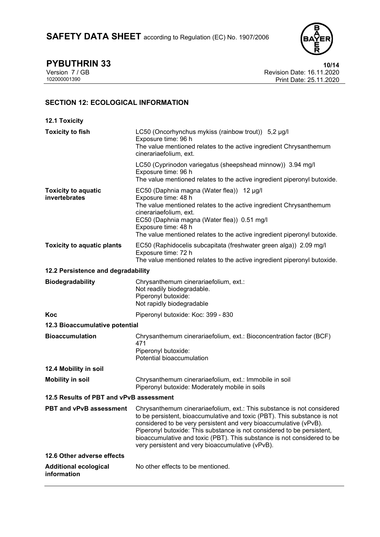

**PYBUTHRIN 33**<br>
Version 7 / GB **10/14**<br>
Revision Date: 16.11.2020 Version 7 / GB Revision Date: 16.11.2020 Print Date: 25.11.2020

## **SECTION 12: ECOLOGICAL INFORMATION**

| <b>12.1 Toxicity</b>                        |                                                                                                                                                                                                                                                                                                                                                                                                                                  |  |
|---------------------------------------------|----------------------------------------------------------------------------------------------------------------------------------------------------------------------------------------------------------------------------------------------------------------------------------------------------------------------------------------------------------------------------------------------------------------------------------|--|
| <b>Toxicity to fish</b>                     | LC50 (Oncorhynchus mykiss (rainbow trout)) 5,2 µg/l<br>Exposure time: 96 h<br>The value mentioned relates to the active ingredient Chrysanthemum<br>cinerariaefolium, ext.                                                                                                                                                                                                                                                       |  |
|                                             | LC50 (Cyprinodon variegatus (sheepshead minnow)) 3.94 mg/l<br>Exposure time: 96 h<br>The value mentioned relates to the active ingredient piperonyl butoxide.                                                                                                                                                                                                                                                                    |  |
| <b>Toxicity to aquatic</b><br>invertebrates | EC50 (Daphnia magna (Water flea)) 12 µg/l<br>Exposure time: 48 h<br>The value mentioned relates to the active ingredient Chrysanthemum<br>cinerariaefolium, ext.<br>EC50 (Daphnia magna (Water flea)) 0.51 mg/l<br>Exposure time: 48 h<br>The value mentioned relates to the active ingredient piperonyl butoxide.                                                                                                               |  |
| <b>Toxicity to aquatic plants</b>           | EC50 (Raphidocelis subcapitata (freshwater green alga)) 2.09 mg/l<br>Exposure time: 72 h<br>The value mentioned relates to the active ingredient piperonyl butoxide.                                                                                                                                                                                                                                                             |  |
| 12.2 Persistence and degradability          |                                                                                                                                                                                                                                                                                                                                                                                                                                  |  |
| <b>Biodegradability</b>                     | Chrysanthemum cinerariaefolium, ext.:<br>Not readily biodegradable.<br>Piperonyl butoxide:<br>Not rapidly biodegradable                                                                                                                                                                                                                                                                                                          |  |
| Koc                                         | Piperonyl butoxide: Koc: 399 - 830                                                                                                                                                                                                                                                                                                                                                                                               |  |
| 12.3 Bioaccumulative potential              |                                                                                                                                                                                                                                                                                                                                                                                                                                  |  |
| <b>Bioaccumulation</b>                      | Chrysanthemum cinerariaefolium, ext.: Bioconcentration factor (BCF)<br>471<br>Piperonyl butoxide:<br>Potential bioaccumulation                                                                                                                                                                                                                                                                                                   |  |
| 12.4 Mobility in soil                       |                                                                                                                                                                                                                                                                                                                                                                                                                                  |  |
| <b>Mobility in soil</b>                     | Chrysanthemum cinerariaefolium, ext.: Immobile in soil<br>Piperonyl butoxide: Moderately mobile in soils                                                                                                                                                                                                                                                                                                                         |  |
| 12.5 Results of PBT and vPvB assessment     |                                                                                                                                                                                                                                                                                                                                                                                                                                  |  |
| PBT and vPvB assessment                     | Chrysanthemum cinerariaefolium, ext.: This substance is not considered<br>to be persistent, bioaccumulative and toxic (PBT). This substance is not<br>considered to be very persistent and very bioaccumulative (vPvB).<br>Piperonyl butoxide: This substance is not considered to be persistent,<br>bioaccumulative and toxic (PBT). This substance is not considered to be<br>very persistent and very bioaccumulative (vPvB). |  |
| 12.6 Other adverse effects                  |                                                                                                                                                                                                                                                                                                                                                                                                                                  |  |
| <b>Additional ecological</b><br>information | No other effects to be mentioned.                                                                                                                                                                                                                                                                                                                                                                                                |  |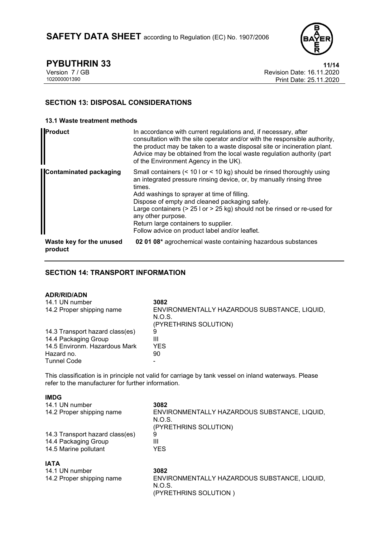

**PYBUTHRIN 33**<br>
Version 7 / GB **11/14**<br>
Revision Date: 16.11.2020 Version 7 / GB Revision Date: 16.11.2020 Print Date: 25.11.2020

## **SECTION 13: DISPOSAL CONSIDERATIONS**

### **13.1 Waste treatment methods**

| Product                             | In accordance with current regulations and, if necessary, after<br>consultation with the site operator and/or with the responsible authority,<br>the product may be taken to a waste disposal site or incineration plant.<br>Advice may be obtained from the local waste regulation authority (part<br>of the Environment Agency in the UK).                                                                                                               |
|-------------------------------------|------------------------------------------------------------------------------------------------------------------------------------------------------------------------------------------------------------------------------------------------------------------------------------------------------------------------------------------------------------------------------------------------------------------------------------------------------------|
| <b>Contaminated packaging</b>       | Small containers (< 10 l or < 10 kg) should be rinsed thoroughly using<br>an integrated pressure rinsing device, or, by manually rinsing three<br>times.<br>Add washings to sprayer at time of filling.<br>Dispose of empty and cleaned packaging safely.<br>Large containers ( $> 25$ l or $> 25$ kg) should not be rinsed or re-used for<br>any other purpose.<br>Return large containers to supplier.<br>Follow advice on product label and/or leaflet. |
| Waste key for the unused<br>product | 02 01 08* agrochemical waste containing hazardous substances                                                                                                                                                                                                                                                                                                                                                                                               |

## **SECTION 14: TRANSPORT INFORMATION**

## **ADR/RID/ADN**

| .                               |                                              |
|---------------------------------|----------------------------------------------|
| 14.1 UN number                  | 3082                                         |
| 14.2 Proper shipping name       | ENVIRONMENTALLY HAZARDOUS SUBSTANCE, LIQUID, |
|                                 | N.O.S.                                       |
|                                 | (PYRETHRINS SOLUTION)                        |
| 14.3 Transport hazard class(es) | 9                                            |
| 14.4 Packaging Group            | Ш                                            |
| 14.5 Environm. Hazardous Mark   | YES                                          |
| Hazard no.                      | 90                                           |
| <b>Tunnel Code</b>              |                                              |
|                                 |                                              |

This classification is in principle not valid for carriage by tank vessel on inland waterways. Please refer to the manufacturer for further information.

### **IMDG**

| .                               |                                              |
|---------------------------------|----------------------------------------------|
| 14.5 Marine pollutant           | <b>YES</b>                                   |
| 14.4 Packaging Group            | Ш                                            |
| 14.3 Transport hazard class(es) | 9                                            |
|                                 | (PYRETHRINS SOLUTION)                        |
|                                 | N.O.S.                                       |
| 14.2 Proper shipping name       | ENVIRONMENTALLY HAZARDOUS SUBSTANCE, LIQUID, |
| 14.1 UN number                  | 3082                                         |
|                                 |                                              |

| <b>IATA</b>               |                                                                                 |
|---------------------------|---------------------------------------------------------------------------------|
| 14.1 UN number            | 3082                                                                            |
| 14.2 Proper shipping name | ENVIRONMENTALLY HAZARDOUS SUBSTANCE, LIQUID.<br>N.O.S.<br>(PYRETHRINS SOLUTION) |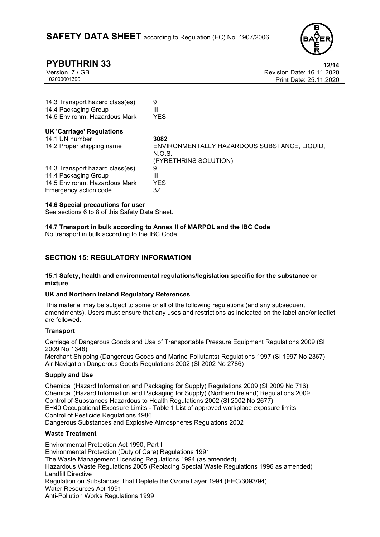

**PYBUTHRIN 33 12/14**<br>
Version 7 / GB **12/14 Revision Date: 16.11.2020** Version 7 / GB Revision Date: 16.11.2020 Print Date: 25.11.2020

| 9<br>Ш                                                                          |
|---------------------------------------------------------------------------------|
| <b>YES</b>                                                                      |
|                                                                                 |
| 3082                                                                            |
| ENVIRONMENTALLY HAZARDOUS SUBSTANCE, LIQUID,<br>N.O.S.<br>(PYRETHRINS SOLUTION) |
| 9                                                                               |
| Ш                                                                               |
| <b>YES</b>                                                                      |
| 3Ζ                                                                              |
|                                                                                 |

#### **14.6 Special precautions for user**

See sections 6 to 8 of this Safety Data Sheet.

**14.7 Transport in bulk according to Annex II of MARPOL and the IBC Code**

No transport in bulk according to the IBC Code.

## **SECTION 15: REGULATORY INFORMATION**

#### **15.1 Safety, health and environmental regulations/legislation specific for the substance or mixture**

#### **UK and Northern Ireland Regulatory References**

This material may be subject to some or all of the following regulations (and any subsequent amendments). Users must ensure that any uses and restrictions as indicated on the label and/or leaflet are followed.

### **Transport**

Carriage of Dangerous Goods and Use of Transportable Pressure Equipment Regulations 2009 (SI 2009 No 1348)

Merchant Shipping (Dangerous Goods and Marine Pollutants) Regulations 1997 (SI 1997 No 2367) Air Navigation Dangerous Goods Regulations 2002 (SI 2002 No 2786)

### **Supply and Use**

Chemical (Hazard Information and Packaging for Supply) Regulations 2009 (SI 2009 No 716) Chemical (Hazard Information and Packaging for Supply) (Northern Ireland) Regulations 2009 Control of Substances Hazardous to Health Regulations 2002 (SI 2002 No 2677) EH40 Occupational Exposure Limits - Table 1 List of approved workplace exposure limits Control of Pesticide Regulations 1986 Dangerous Substances and Explosive Atmospheres Regulations 2002

### **Waste Treatment**

Environmental Protection Act 1990, Part II Environmental Protection (Duty of Care) Regulations 1991 The Waste Management Licensing Regulations 1994 (as amended) Hazardous Waste Regulations 2005 (Replacing Special Waste Regulations 1996 as amended) Landfill Directive Regulation on Substances That Deplete the Ozone Layer 1994 (EEC/3093/94) Water Resources Act 1991 Anti-Pollution Works Regulations 1999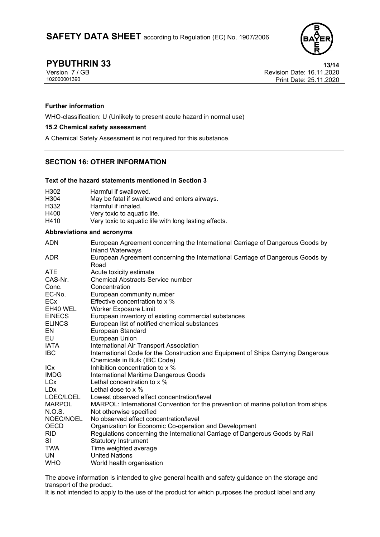

**PYBUTHRIN 33** 13/14<br>
Version 7 / GB 13/14<br>
Revision Date: 16.11.2020 Version 7 / GB Revision Date: 16.11.2020 Print Date: 25.11.2020

### **Further information**

WHO-classification: U (Unlikely to present acute hazard in normal use)

#### **15.2 Chemical safety assessment**

A Chemical Safety Assessment is not required for this substance.

## **SECTION 16: OTHER INFORMATION**

#### **Text of the hazard statements mentioned in Section 3**

| H <sub>302</sub> | Harmful if swallowed.                                 |
|------------------|-------------------------------------------------------|
| H <sub>304</sub> | May be fatal if swallowed and enters airways.         |
| H332             | Harmful if inhaled.                                   |
| H400             | Very toxic to aquatic life.                           |
| H410             | Very toxic to aquatic life with long lasting effects. |

#### **Abbreviations and acronyms**

| <b>ADN</b>    | European Agreement concerning the International Carriage of Dangerous Goods by<br><b>Inland Waterways</b> |
|---------------|-----------------------------------------------------------------------------------------------------------|
| <b>ADR</b>    | European Agreement concerning the International Carriage of Dangerous Goods by<br>Road                    |
| <b>ATE</b>    | Acute toxicity estimate                                                                                   |
| CAS-Nr.       | <b>Chemical Abstracts Service number</b>                                                                  |
| Conc.         | Concentration                                                                                             |
| EC-No.        | European community number                                                                                 |
| <b>ECx</b>    | Effective concentration to x %                                                                            |
| EH40 WEL      | <b>Worker Exposure Limit</b>                                                                              |
| <b>EINECS</b> | European inventory of existing commercial substances                                                      |
| <b>ELINCS</b> | European list of notified chemical substances                                                             |
| EN            | <b>European Standard</b>                                                                                  |
| EU            | European Union                                                                                            |
| <b>IATA</b>   | International Air Transport Association                                                                   |
| <b>IBC</b>    | International Code for the Construction and Equipment of Ships Carrying Dangerous                         |
|               | Chemicals in Bulk (IBC Code)                                                                              |
| <b>ICx</b>    | Inhibition concentration to x %                                                                           |
| <b>IMDG</b>   | International Maritime Dangerous Goods                                                                    |
| <b>LCx</b>    | Lethal concentration to x %                                                                               |
| <b>LDx</b>    | Lethal dose to $\times$ %                                                                                 |
| LOEC/LOEL     | Lowest observed effect concentration/level                                                                |
| <b>MARPOL</b> | MARPOL: International Convention for the prevention of marine pollution from ships                        |
| N.O.S.        | Not otherwise specified                                                                                   |
| NOEC/NOEL     | No observed effect concentration/level                                                                    |
| OECD          | Organization for Economic Co-operation and Development                                                    |
| <b>RID</b>    | Regulations concerning the International Carriage of Dangerous Goods by Rail                              |
| SI            | <b>Statutory Instrument</b>                                                                               |
| TWA           | Time weighted average                                                                                     |
| UN            | <b>United Nations</b>                                                                                     |
| <b>WHO</b>    | World health organisation                                                                                 |

The above information is intended to give general health and safety guidance on the storage and transport of the product.

It is not intended to apply to the use of the product for which purposes the product label and any